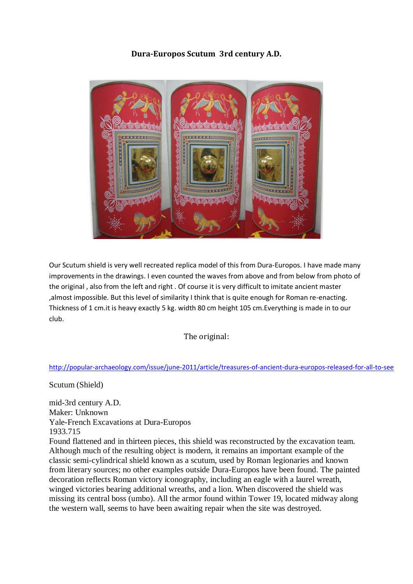**Dura-Europos Scutum 3rd century A.D.** 



Our Scutum shield is very well recreated replica model of this from Dura-Europos. I have made many improvements in the drawings. I even counted the waves from above and from below from photo of the original , also from the left and right . Оf course it is very difficult to imitate ancient master ,almost impossible. But this level of similarity I think that is quite enough for Roman re-enacting. Thickness of 1 cm.it is heavy exactly 5 kg. width 80 cm height 105 cm.Everything is made in to our club.

The original:

## [http://popular-archaeology.com/issue/june-2011/article/treasures-of-ancient-dura-europos-released-for-all-to-se](http://popular-archaeology.com/issue/june-2011/article/treasures-of-ancient-dura-europos-released-for-all-to-see)e

Scutum (Shield)

mid-3rd century A.D. Maker: Unknown Yale-French Excavations at Dura-Europos 1933.715

Found flattened and in thirteen pieces, this shield was reconstructed by the excavation team. Although much of the resulting object is modern, it remains an important example of the classic semi-cylindrical shield known as a scutum, used by Roman legionaries and known from literary sources; no other examples outside Dura-Europos have been found. The painted decoration reflects Roman victory iconography, including an eagle with a laurel wreath, winged victories bearing additional wreaths, and a lion. When discovered the shield was missing its central boss (umbo). All the armor found within Tower 19, located midway along the western wall, seems to have been awaiting repair when the site was destroyed.